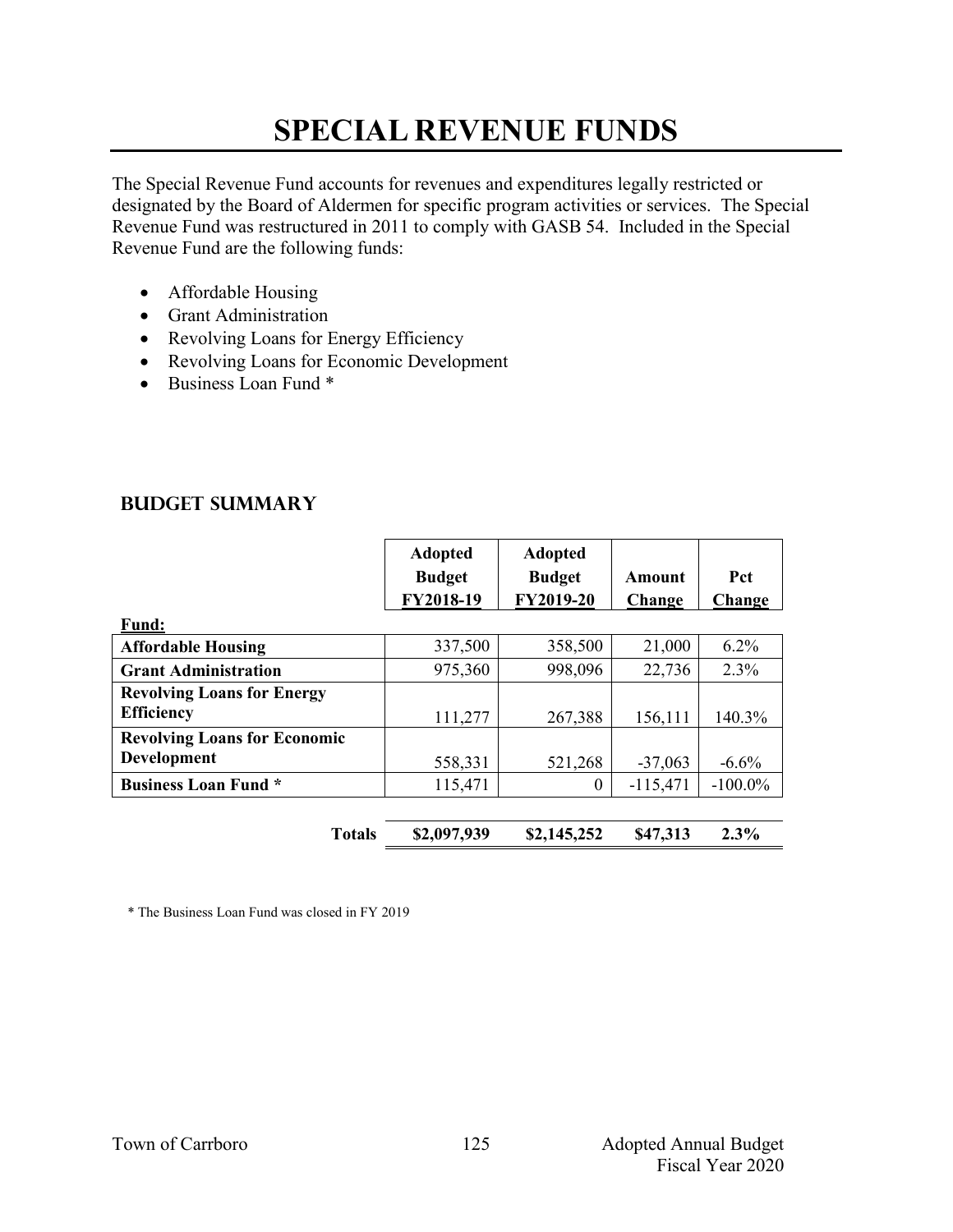#### **SPECIAL REVENUE FUNDS**

The Special Revenue Fund accounts for revenues and expenditures legally restricted or designated by the Board of Aldermen for specific program activities or services. The Special Revenue Fund was restructured in 2011 to comply with GASB 54. Included in the Special Revenue Fund are the following funds:

- Affordable Housing
- Grant Administration
- Revolving Loans for Energy Efficiency
- Revolving Loans for Economic Development
- Business Loan Fund \*

|                                                           | <b>Adopted</b><br><b>Budget</b><br>FY2018-19 | Adopted<br><b>Budget</b><br>FY2019-20 | Amount<br>Change | <b>Pct</b><br>Change |
|-----------------------------------------------------------|----------------------------------------------|---------------------------------------|------------------|----------------------|
| <b>Fund:</b>                                              |                                              |                                       |                  |                      |
| <b>Affordable Housing</b>                                 | 337,500                                      | 358,500                               | 21,000           | $6.2\%$              |
| <b>Grant Administration</b>                               | 975,360                                      | 998,096                               | 22,736           | 2.3%                 |
| <b>Revolving Loans for Energy</b><br><b>Efficiency</b>    | 111,277                                      | 267,388                               | 156,111          | 140.3%               |
| <b>Revolving Loans for Economic</b><br><b>Development</b> | 558,331                                      | 521,268                               | $-37,063$        | $-6.6%$              |
| <b>Business Loan Fund *</b>                               | 115,471                                      | $\theta$                              | $-115,471$       | $-100.0\%$           |
|                                                           |                                              |                                       |                  |                      |

**Totals \$2,097,939 \$2,145,252 \$47,313 2.3%**

#### **Budget Summary**

\* The Business Loan Fund was closed in FY 2019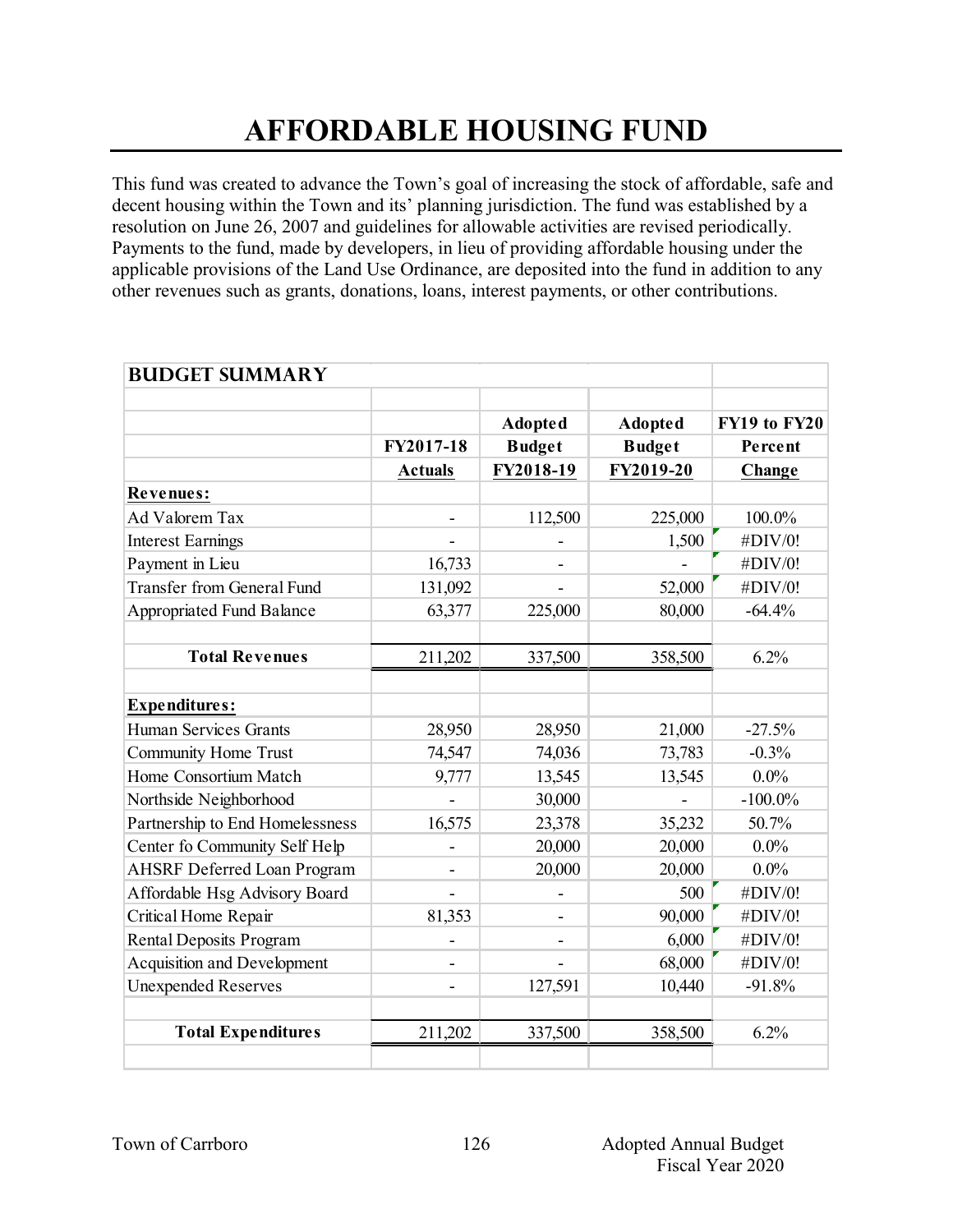#### **AFFORDABLE HOUSING FUND**

This fund was created to advance the Town's goal of increasing the stock of affordable, safe and decent housing within the Town and its' planning jurisdiction. The fund was established by a resolution on June 26, 2007 and guidelines for allowable activities are revised periodically. Payments to the fund, made by developers, in lieu of providing affordable housing under the applicable provisions of the Land Use Ordinance, are deposited into the fund in addition to any other revenues such as grants, donations, loans, interest payments, or other contributions.

| <b>BUDGET SUMMARY</b>              |                |                            |                                 |                         |
|------------------------------------|----------------|----------------------------|---------------------------------|-------------------------|
|                                    | FY2017-18      | <b>Adopted</b>             | <b>Adopted</b><br><b>Budget</b> | FY19 to FY20<br>Percent |
|                                    | <b>Actuals</b> | <b>Budget</b><br>FY2018-19 | FY2019-20                       | Change                  |
| Revenues:                          |                |                            |                                 |                         |
| Ad Valorem Tax                     | $\blacksquare$ | 112,500                    | 225,000                         | 100.0%                  |
| <b>Interest Earnings</b>           |                |                            | 1,500                           | #DIV/0!                 |
| Payment in Lieu                    | 16,733         |                            |                                 | #DIV/0!                 |
| <b>Transfer from General Fund</b>  | 131,092        |                            | 52,000                          | #DIV/0!                 |
| <b>Appropriated Fund Balance</b>   | 63,377         | 225,000                    | 80,000                          | $-64.4%$                |
|                                    |                |                            |                                 |                         |
| <b>Total Revenues</b>              | 211,202        | 337,500                    | 358,500                         | 6.2%                    |
|                                    |                |                            |                                 |                         |
| <b>Expenditures:</b>               |                |                            |                                 |                         |
| <b>Human Services Grants</b>       | 28,950         | 28,950                     | 21,000                          | $-27.5%$                |
| <b>Community Home Trust</b>        | 74,547         | 74,036                     | 73,783                          | $-0.3%$                 |
| Home Consortium Match              | 9,777          | 13,545                     | 13,545                          | $0.0\%$                 |
| Northside Neighborhood             |                | 30,000                     |                                 | $-100.0\%$              |
| Partnership to End Homelessness    | 16,575         | 23,378                     | 35,232                          | 50.7%                   |
| Center fo Community Self Help      |                | 20,000                     | 20,000                          | $0.0\%$                 |
| <b>AHSRF Deferred Loan Program</b> |                | 20,000                     | 20,000                          | $0.0\%$                 |
| Affordable Hsg Advisory Board      | $\blacksquare$ |                            | 500                             | #DIV/0!                 |
| Critical Home Repair               | 81,353         |                            | 90,000                          | #DIV/0!                 |
| <b>Rental Deposits Program</b>     |                |                            | 6,000                           | #DIV/0!                 |
| Acquisition and Development        |                |                            | 68,000                          | #DIV/0!                 |
| <b>Unexpended Reserves</b>         |                | 127,591                    | 10,440                          | $-91.8%$                |
|                                    |                |                            |                                 |                         |
| <b>Total Expenditures</b>          | 211,202        | 337,500                    | 358,500                         | 6.2%                    |
|                                    |                |                            |                                 |                         |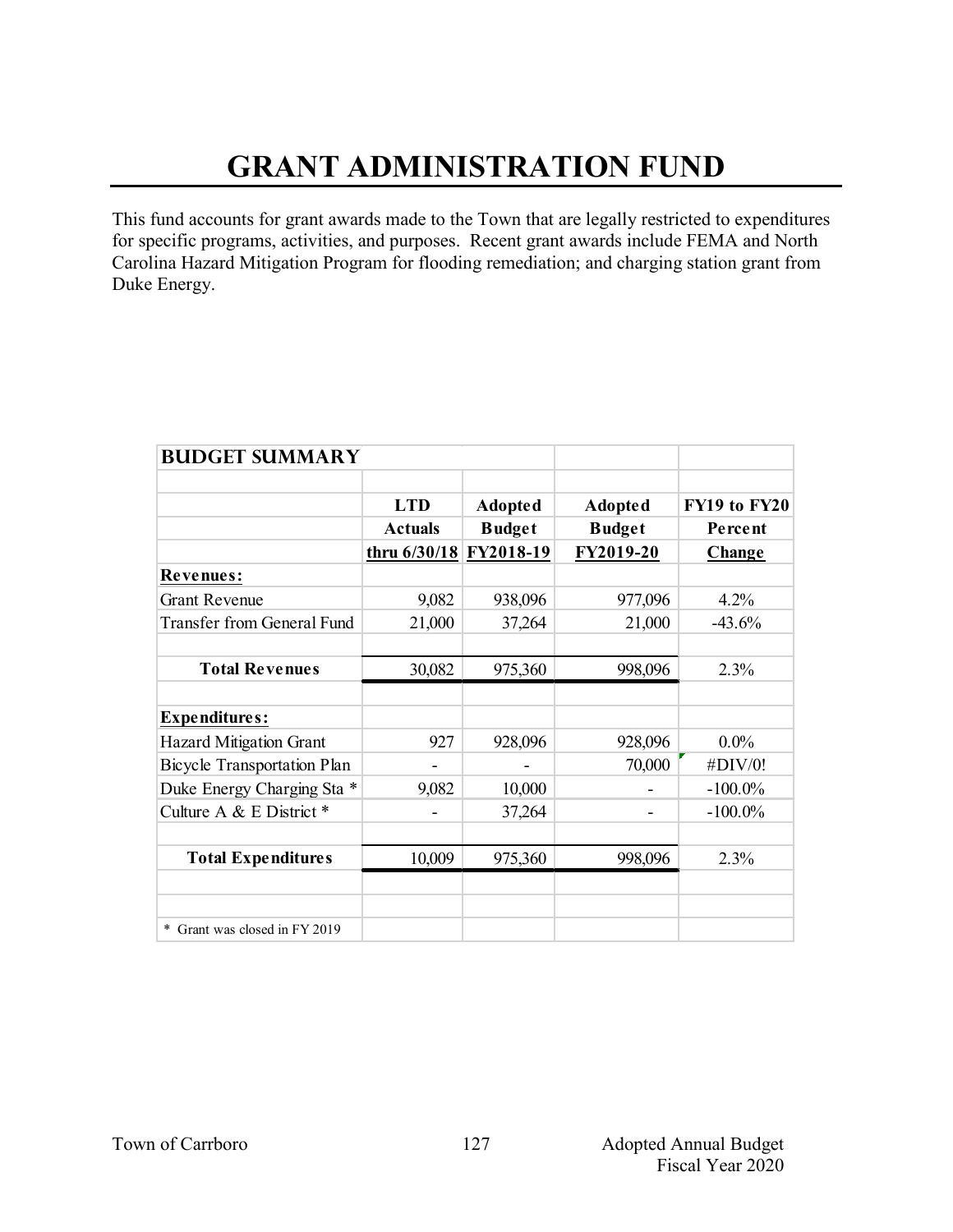# **GRANT ADMINISTRATION FUND**

This fund accounts for grant awards made to the Town that are legally restricted to expenditures for specific programs, activities, and purposes. Recent grant awards include FEMA and North Carolina Hazard Mitigation Program for flooding remediation; and charging station grant from Duke Energy.

| <b>BUDGET SUMMARY</b>              |                |               |                |              |
|------------------------------------|----------------|---------------|----------------|--------------|
|                                    |                |               |                |              |
|                                    | <b>LTD</b>     | Adopted       | <b>Adopted</b> | FY19 to FY20 |
|                                    | <b>Actuals</b> | <b>Budget</b> | <b>Budget</b>  | Percent      |
|                                    | thru 6/30/18   | FY2018-19     | FY2019-20      | Change       |
| Revenues:                          |                |               |                |              |
| <b>Grant Revenue</b>               | 9,082          | 938,096       | 977,096        | $4.2\%$      |
| <b>Transfer from General Fund</b>  | 21,000         | 37,264        | 21,000         | $-43.6%$     |
|                                    |                |               |                |              |
| <b>Total Revenues</b>              | 30,082         | 975,360       | 998,096        | 2.3%         |
|                                    |                |               |                |              |
| <b>Expenditures:</b>               |                |               |                |              |
| <b>Hazard Mitigation Grant</b>     | 927            | 928,096       | 928,096        | $0.0\%$      |
| <b>Bicycle Transportation Plan</b> |                |               | 70,000         | #DIV/0!      |
| Duke Energy Charging Sta *         | 9,082          | 10,000        |                | $-100.0\%$   |
| Culture A & E District *           |                | 37,264        |                | $-100.0\%$   |
|                                    |                |               |                |              |
| <b>Total Expenditures</b>          | 10,009         | 975,360       | 998,096        | 2.3%         |
|                                    |                |               |                |              |
|                                    |                |               |                |              |
| * Grant was closed in FY 2019      |                |               |                |              |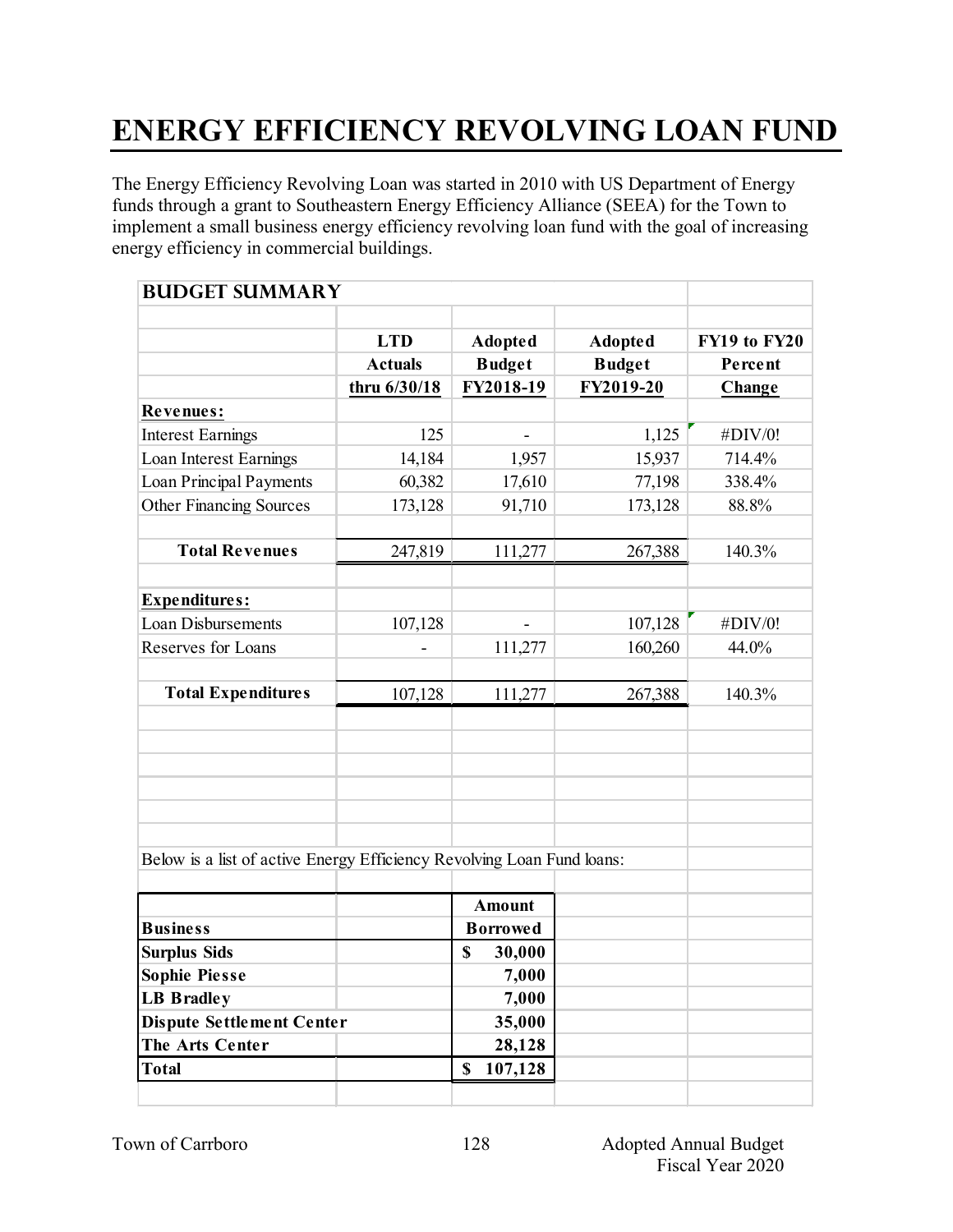# **ENERGY EFFICIENCY REVOLVING LOAN FUND**

The Energy Efficiency Revolving Loan was started in 2010 with US Department of Energy funds through a grant to Southeastern Energy Efficiency Alliance (SEEA) for the Town to implement a small business energy efficiency revolving loan fund with the goal of increasing energy efficiency in commercial buildings.

| <b>BUDGET SUMMARY</b>                                                  |                |                 |                |              |
|------------------------------------------------------------------------|----------------|-----------------|----------------|--------------|
|                                                                        | <b>LTD</b>     | <b>Adopted</b>  | <b>Adopted</b> | FY19 to FY20 |
|                                                                        | <b>Actuals</b> | <b>Budget</b>   | <b>Budget</b>  | Percent      |
|                                                                        | thru 6/30/18   | FY2018-19       | FY2019-20      | Change       |
| <b>Revenues:</b>                                                       |                |                 |                |              |
| <b>Interest Earnings</b>                                               | 125            |                 | 1,125          | #DIV/0!      |
| Loan Interest Earnings                                                 | 14,184         | 1,957           | 15,937         | 714.4%       |
| Loan Principal Payments                                                | 60,382         | 17,610          | 77,198         | 338.4%       |
| Other Financing Sources                                                | 173,128        | 91,710          | 173,128        | 88.8%        |
| <b>Total Revenues</b>                                                  | 247,819        | 111,277         | 267,388        | 140.3%       |
| <b>Expenditures:</b>                                                   |                |                 |                |              |
| <b>Loan Disbursements</b>                                              | 107,128        |                 | 107,128        | #DIV/0!      |
| Reserves for Loans                                                     |                | 111,277         | 160,260        | 44.0%        |
| <b>Total Expenditures</b>                                              | 107,128        | 111,277         | 267,388        | 140.3%       |
|                                                                        |                |                 |                |              |
|                                                                        |                |                 |                |              |
|                                                                        |                |                 |                |              |
|                                                                        |                |                 |                |              |
| Below is a list of active Energy Efficiency Revolving Loan Fund loans: |                |                 |                |              |
|                                                                        |                | <b>Amount</b>   |                |              |
| <b>Business</b>                                                        |                | <b>Borrowed</b> |                |              |
| <b>Surplus Sids</b>                                                    |                | \$<br>30,000    |                |              |
| <b>Sophie Piesse</b>                                                   |                | 7,000           |                |              |
| <b>LB Bradley</b>                                                      |                | 7,000           |                |              |
| <b>Dispute Settlement Center</b>                                       |                | 35,000          |                |              |
| The Arts Center                                                        |                | 28,128          |                |              |
| <b>Total</b>                                                           |                | 107,128<br>\$   |                |              |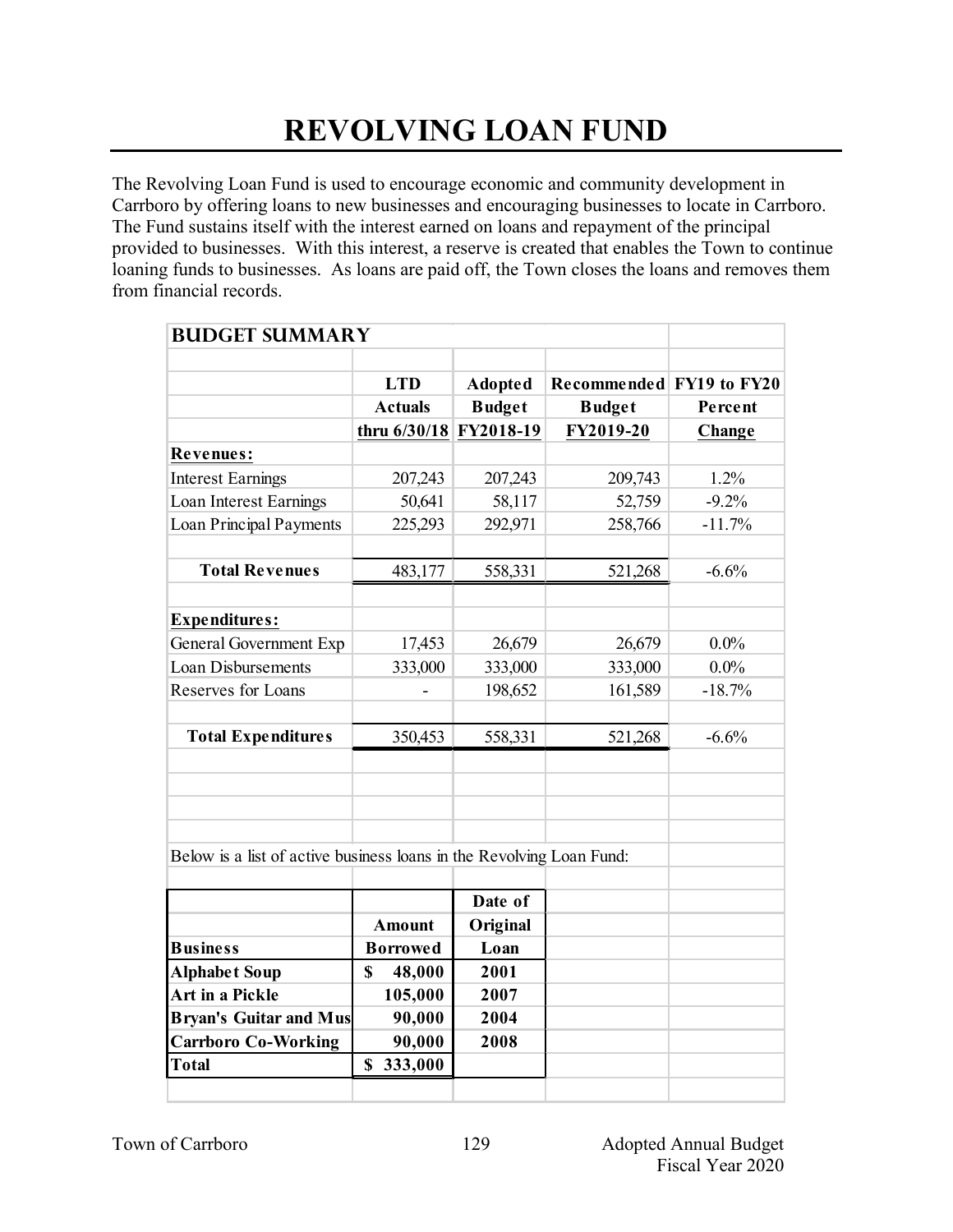### **REVOLVING LOAN FUND**

The Revolving Loan Fund is used to encourage economic and community development in Carrboro by offering loans to new businesses and encouraging businesses to locate in Carrboro. The Fund sustains itself with the interest earned on loans and repayment of the principal provided to businesses. With this interest, a reserve is created that enables the Town to continue loaning funds to businesses. As loans are paid off, the Town closes the loans and removes them from financial records.

| <b>BUDGET SUMMARY</b>                                                |                          |                |                          |          |
|----------------------------------------------------------------------|--------------------------|----------------|--------------------------|----------|
|                                                                      | <b>LTD</b>               | <b>Adopted</b> | Recommended FY19 to FY20 |          |
|                                                                      | <b>Actuals</b>           | <b>Budget</b>  | <b>Budget</b>            | Percent  |
|                                                                      | thru 6/30/18 FY2018-19   |                | FY2019-20                | Change   |
| <b>Revenues:</b>                                                     |                          |                |                          |          |
| <b>Interest Earnings</b>                                             | 207,243                  | 207,243        | 209,743                  | 1.2%     |
| Loan Interest Earnings                                               | 50,641                   | 58,117         | 52,759                   | $-9.2%$  |
| <b>Loan Principal Payments</b>                                       | 225,293                  | 292,971        | 258,766                  | $-11.7%$ |
|                                                                      |                          |                |                          |          |
| <b>Total Revenues</b>                                                | 483,177                  | 558,331        | 521,268                  | $-6.6%$  |
|                                                                      |                          |                |                          |          |
| <b>Expenditures:</b>                                                 |                          |                |                          |          |
| General Government Exp                                               | 17,453                   | 26,679         | 26,679                   | $0.0\%$  |
| <b>Loan Disbursements</b>                                            | 333,000                  | 333,000        | 333,000                  | $0.0\%$  |
| Reserves for Loans                                                   | $\overline{\phantom{0}}$ | 198,652        | 161,589                  | $-18.7%$ |
|                                                                      |                          |                |                          |          |
| <b>Total Expenditures</b>                                            | 350,453                  | 558,331        | 521,268                  | $-6.6%$  |
|                                                                      |                          |                |                          |          |
|                                                                      |                          |                |                          |          |
|                                                                      |                          |                |                          |          |
|                                                                      |                          |                |                          |          |
| Below is a list of active business loans in the Revolving Loan Fund: |                          |                |                          |          |
|                                                                      |                          |                |                          |          |
|                                                                      |                          | Date of        |                          |          |
|                                                                      | <b>Amount</b>            | Original       |                          |          |
| <b>Business</b>                                                      | <b>Borrowed</b>          | Loan           |                          |          |
| <b>Alphabet Soup</b>                                                 | $\mathbf S$<br>48,000    | 2001           |                          |          |
| Art in a Pickle                                                      | 105,000                  | 2007           |                          |          |
| <b>Bryan's Guitar and Mus</b>                                        | 90,000                   | 2004           |                          |          |
| <b>Carrboro Co-Working</b>                                           | 90,000                   | 2008           |                          |          |
| <b>Total</b>                                                         | \$333,000                |                |                          |          |
|                                                                      |                          |                |                          |          |